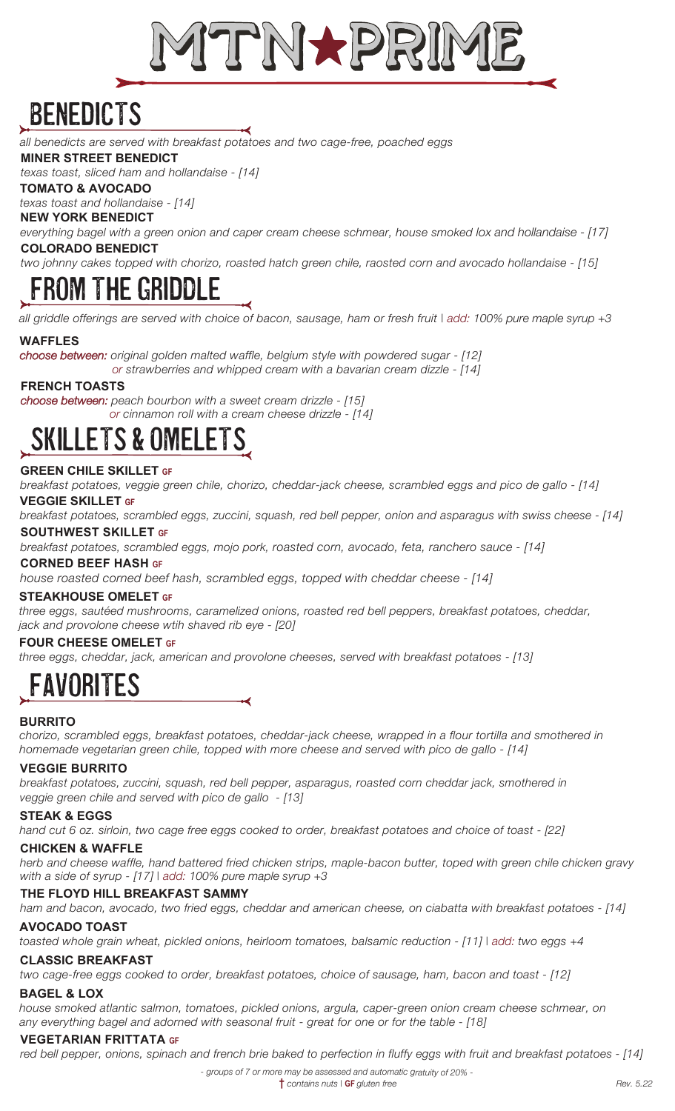

# BENEDICTS

*all benedicts are served with breakfast potatoes and two cage-free, poached eggs*

#### **MINER STREET BENEDICT**

*texas toast, sliced ham and hollandaise - [14]*

### **TOMATO & AVOCADO**

*texas toast and hollandaise - [14]*

#### **NEW YORK BENEDICT**

*everything bagel with a green onion and caper cream cheese schmear, house smoked lox and hollandaise - [17]*  **COLORADO BENEDICT**

*two johnny cakes topped with chorizo, roasted hatch green chile, raosted corn and avocado hollandaise - [15]*

# THE GRIDD

*all griddle offerings are served with choice of bacon, sausage, ham or fresh fruit | add: 100% pure maple syrup +3*

### **WAFFLES**

*choose between: original golden malted waffle, belgium style with powdered sugar - [12] or strawberries and whipped cream with a bavarian cream dizzle - [14]*

**FRENCH TOASTS**

*choose between: peach bourbon with a sweet cream drizzle - [15] or cinnamon roll with a cream cheese drizzle - [14]*

# SKILlETS & OMELETS

### **GREEN CHILE SKILLET GF**

*breakfast potatoes, veggie green chile, chorizo, cheddar-jack cheese, scrambled eggs and pico de gallo - [14]*

#### **VEGGIE SKILLET GF**

*breakfast potatoes, scrambled eggs, zuccini, squash, red bell pepper, onion and asparagus with swiss cheese - [14]*

### **SOUTHWEST SKILLET GF**

*breakfast potatoes, scrambled eggs, mojo pork, roasted corn, avocado, feta, ranchero sauce - [14]* 

#### **CORNED BEEF HASH GF**

*house roasted corned beef hash, scrambled eggs, topped with cheddar cheese - [14]*

#### **STEAKHOUSE OMELET GF**

*three eggs, sautéed mushrooms, caramelized onions, roasted red bell peppers, breakfast potatoes, cheddar, jack and provolone cheese wtih shaved rib eye - [20]*

### **FOUR CHEESE OMELET GF**  *three eggs, cheddar, jack, american and provolone cheeses, served with breakfast potatoes - [13]*

# **FAVORITES**

### **BURRITO**

*chorizo, scrambled eggs, breakfast potatoes, cheddar-jack cheese, wrapped in a flour tortilla and smothered in homemade vegetarian green chile, topped with more cheese and served with pico de gallo - [14]*

### **VEGGIE BURRITO**

*breakfast potatoes, zuccini, squash, red bell pepper, asparagus, roasted corn cheddar jack, smothered in veggie green chile and served with pico de gallo - [13]* 

### **STEAK & EGGS**

*hand cut 6 oz. sirloin, two cage free eggs cooked to order, breakfast potatoes and choice of toast - [22]*

#### **CHICKEN & WAFFLE**

*herb and cheese waffle, hand battered fried chicken strips, maple-bacon butter, toped with green chile chicken gravy with a side of syrup - [17] | add: 100% pure maple syrup +3*

### **THE FLOYD HILL BREAKFAST SAMMY**

*ham and bacon, avocado, two fried eggs, cheddar and american cheese, on ciabatta with breakfast potatoes - [14]*

#### **AVOCADO TOAST**

*toasted whole grain wheat, pickled onions, heirloom tomatoes, balsamic reduction - [11] | add: two eggs +4*

## **CLASSIC BREAKFAST**

*two cage-free eggs cooked to order, breakfast potatoes, choice of sausage, ham, bacon and toast - [12]*

### **BAGEL & LOX**

*house smoked atlantic salmon, tomatoes, pickled onions, argula, caper-green onion cream cheese schmear, on any everything bagel and adorned with seasonal fruit - great for one or for the table - [18]*

### **VEGETARIAN FRITTATA GF**

*red bell pepper, onions, spinach and french brie baked to perfection in fluffy eggs with fruit and breakfast potatoes - [14]*